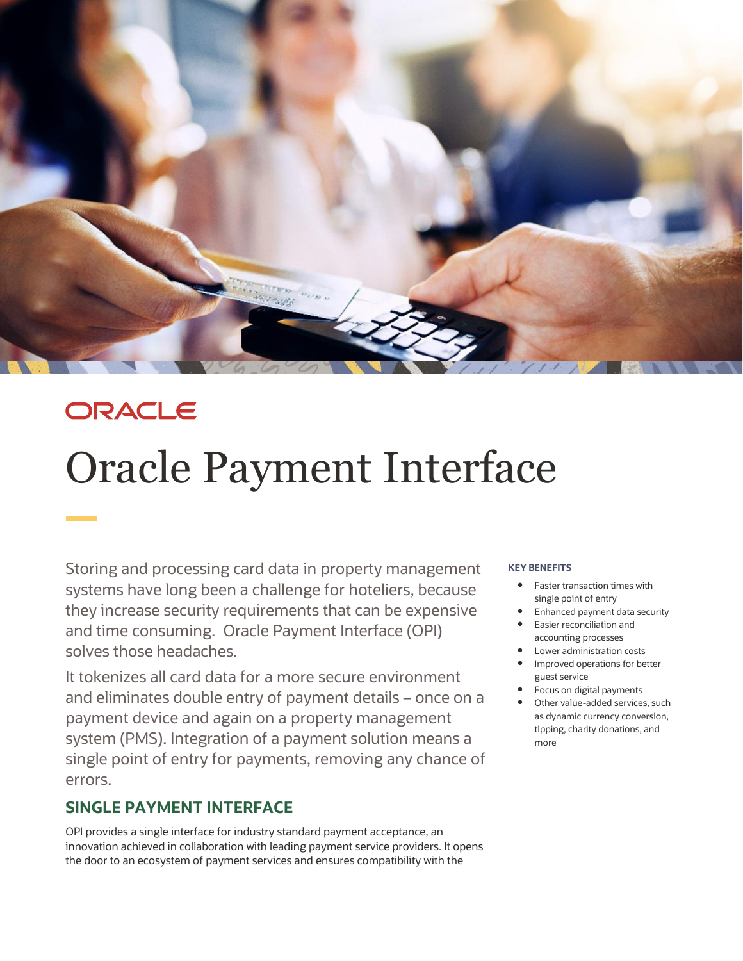

## ORACLE

# Oracle Payment Interface

Storing and processing card data in property management systems have long been a challenge for hoteliers, because they increase security requirements that can be expensive and time consuming. Oracle Payment Interface (OPI) solves those headaches.

It tokenizes all card data for a more secure environment and eliminates double entry of payment details – once on a payment device and again on a property management system (PMS). Integration of a payment solution means a single point of entry for payments, removing any chance of errors.

## **SINGLE PAYMENT INTERFACE**

OPI provides a single interface for industry standard payment acceptance, an innovation achieved in collaboration with leading payment service providers. It opens the door to an ecosystem of payment services and ensures compatibility with the

#### **KEY BENEFITS**

- Faster transaction times with single point of entry
- Enhanced payment data security
- Easier reconciliation and accounting processes
- Lower administration costs
- Improved operations for better guest service
- Focus on digital payments
- Other value-added services, such as dynamic currency conversion, tipping, charity donations, and more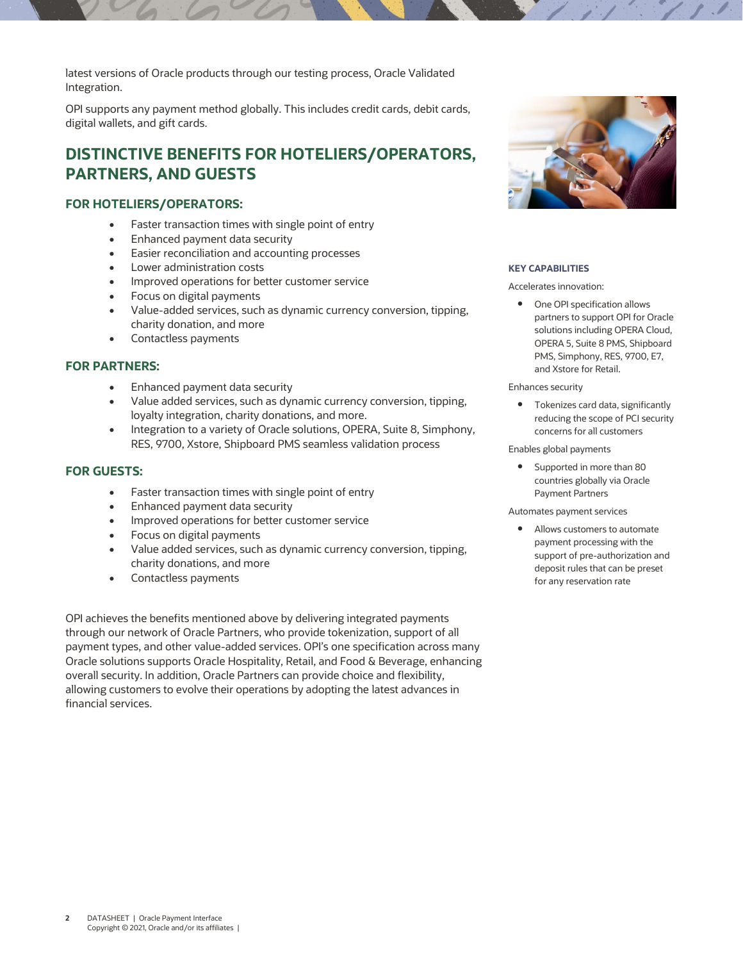latest versions of Oracle products through our testing process, Oracle Validated Integration.

OPI supports any payment method globally. This includes credit cards, debit cards, digital wallets, and gift cards.

## **DISTINCTIVE BENEFITS FOR HOTELIERS/OPERATORS, PARTNERS, AND GUESTS**

#### **FOR HOTELIERS/OPERATORS:**

- Faster transaction times with single point of entry
- Enhanced payment data security
- Easier reconciliation and accounting processes
- Lower administration costs
- Improved operations for better customer service
- Focus on digital payments
- Value-added services, such as dynamic currency conversion, tipping, charity donation, and more
- Contactless payments

#### **FOR PARTNERS:**

- Enhanced payment data security
- Value added services, such as dynamic currency conversion, tipping, loyalty integration, charity donations, and more.
- Integration to a variety of Oracle solutions, OPERA, Suite 8, Simphony, RES, 9700, Xstore, Shipboard PMS seamless validation process

#### **FOR GUESTS:**

- Faster transaction times with single point of entry
- Enhanced payment data security
- Improved operations for better customer service
- Focus on digital payments
- Value added services, such as dynamic currency conversion, tipping, charity donations, and more
- Contactless payments

OPI achieves the benefits mentioned above by delivering integrated payments through our network of Oracle Partners, who provide tokenization, support of all payment types, and other value-added services. OPI's one specification across many Oracle solutions supports Oracle Hospitality, Retail, and Food & Beverage, enhancing overall security. In addition, Oracle Partners can provide choice and flexibility, allowing customers to evolve their operations by adopting the latest advances in financial services.



#### **KEY CAPABILITIES**

Accelerates innovation:

• One OPI specification allows partners to support OPI for Oracle solutions including OPERA Cloud, OPERA 5, Suite 8 PMS, Shipboard PMS, Simphony, RES, 9700, E7, and Xstore for Retail.

Enhances security

**•** Tokenizes card data, significantly reducing the scope of PCI security concerns for all customers

#### Enables global payments

• Supported in more than 80 countries globally via Oracle Payment Partners

#### Automates payment services

 Allows customers to automate payment processing with the support of pre-authorization and deposit rules that can be preset for any reservation rate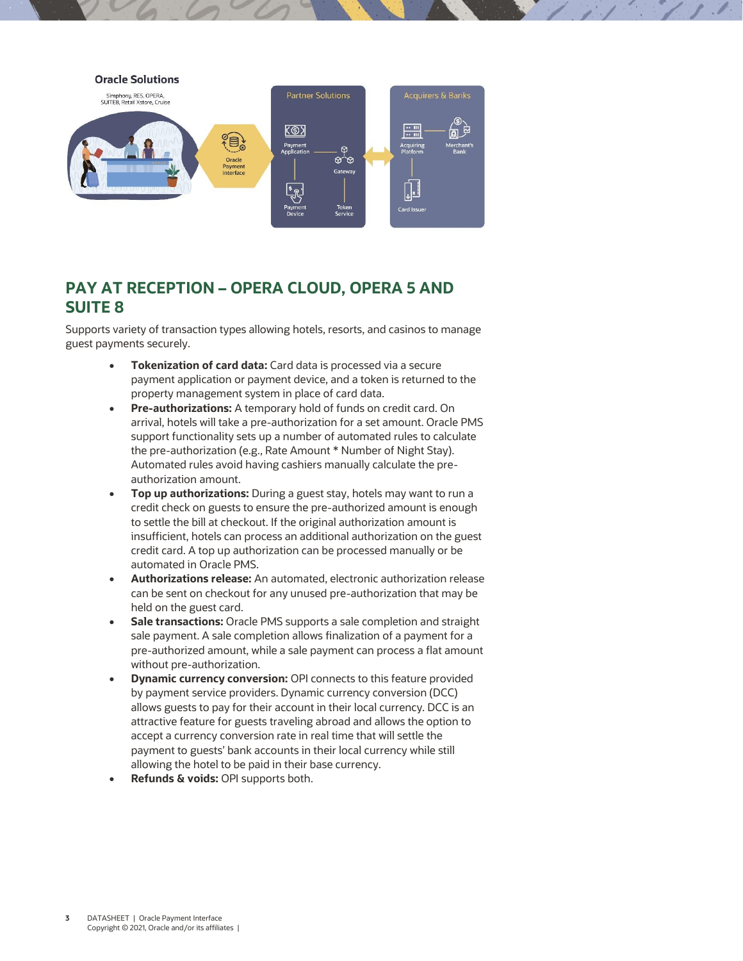

## **PAY AT RECEPTION – OPERA CLOUD, OPERA 5 AND SUITE 8**

Supports variety of transaction types allowing hotels, resorts, and casinos to manage guest payments securely.

- **Tokenization of card data:** Card data is processed via a secure payment application or payment device, and a token is returned to the property management system in place of card data.
- **Pre-authorizations:** A temporary hold of funds on credit card. On arrival, hotels will take a pre-authorization for a set amount. Oracle PMS support functionality sets up a number of automated rules to calculate the pre-authorization (e.g., Rate Amount \* Number of Night Stay). Automated rules avoid having cashiers manually calculate the preauthorization amount.
- **Top up authorizations:** During a guest stay, hotels may want to run a credit check on guests to ensure the pre-authorized amount is enough to settle the bill at checkout. If the original authorization amount is insufficient, hotels can process an additional authorization on the guest credit card. A top up authorization can be processed manually or be automated in Oracle PMS.
- **Authorizations release:** An automated, electronic authorization release can be sent on checkout for any unused pre-authorization that may be held on the guest card.
- **Sale transactions:** Oracle PMS supports a sale completion and straight sale payment. A sale completion allows finalization of a payment for a pre-authorized amount, while a sale payment can process a flat amount without pre-authorization.
- **Dynamic currency conversion:** OPI connects to this feature provided by payment service providers. Dynamic currency conversion (DCC) allows guests to pay for their account in their local currency. DCC is an attractive feature for guests traveling abroad and allows the option to accept a currency conversion rate in real time that will settle the payment to guests' bank accounts in their local currency while still allowing the hotel to be paid in their base currency.
- **Refunds & voids:** OPI supports both.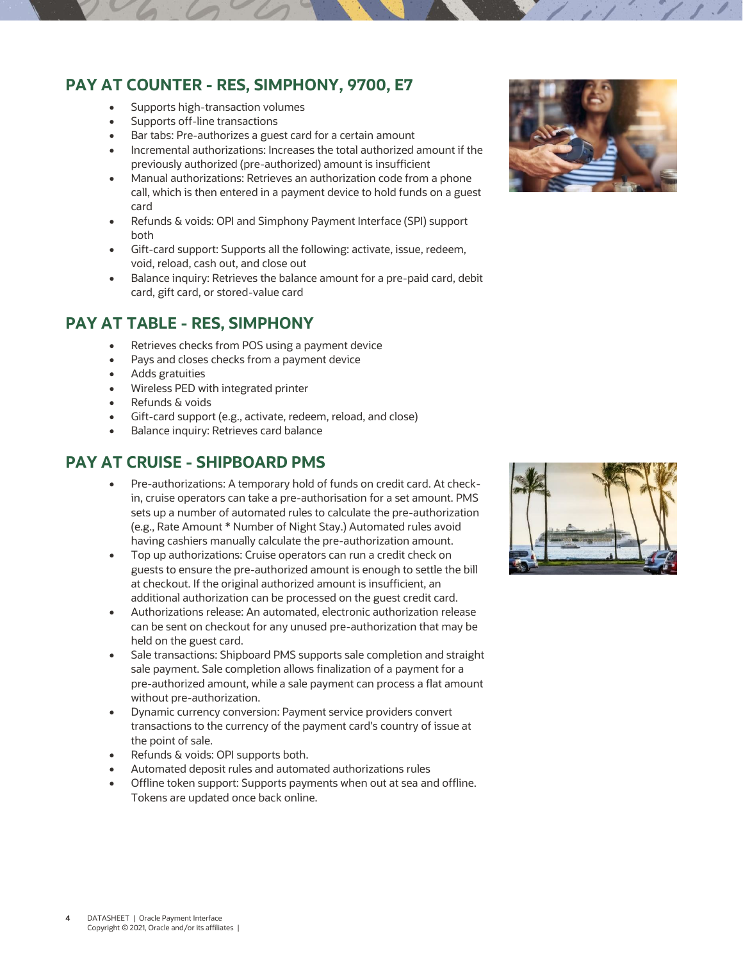## **PAY AT COUNTER - RES, SIMPHONY, 9700, E7**

- Supports high-transaction volumes
- Supports off-line transactions
- Bar tabs: Pre-authorizes a guest card for a certain amount
- Incremental authorizations: Increases the total authorized amount if the previously authorized (pre-authorized) amount is insufficient
- Manual authorizations: Retrieves an authorization code from a phone call, which is then entered in a payment device to hold funds on a guest card
- Refunds & voids: OPI and Simphony Payment Interface (SPI) support both
- Gift-card support: Supports all the following: activate, issue, redeem, void, reload, cash out, and close out
- Balance inquiry: Retrieves the balance amount for a pre-paid card, debit card, gift card, or stored-value card

## **PAY AT TABLE - RES, SIMPHONY**

- Retrieves checks from POS using a payment device
- Pays and closes checks from a payment device
- Adds gratuities
- Wireless PED with integrated printer
- Refunds & voids
- Gift-card support (e.g., activate, redeem, reload, and close)
- Balance inquiry: Retrieves card balance

## **PAY AT CRUISE - SHIPBOARD PMS**

- Pre-authorizations: A temporary hold of funds on credit card. At checkin, cruise operators can take a pre-authorisation for a set amount. PMS sets up a number of automated rules to calculate the pre-authorization (e.g., Rate Amount \* Number of Night Stay.) Automated rules avoid having cashiers manually calculate the pre-authorization amount.
- Top up authorizations: Cruise operators can run a credit check on guests to ensure the pre-authorized amount is enough to settle the bill at checkout. If the original authorized amount is insufficient, an additional authorization can be processed on the guest credit card.
- Authorizations release: An automated, electronic authorization release can be sent on checkout for any unused pre-authorization that may be held on the guest card.
- Sale transactions: Shipboard PMS supports sale completion and straight sale payment. Sale completion allows finalization of a payment for a pre-authorized amount, while a sale payment can process a flat amount without pre-authorization.
- Dynamic currency conversion: Payment service providers convert transactions to the currency of the payment card's country of issue at the point of sale.
- Refunds & voids: OPI supports both.
- Automated deposit rules and automated authorizations rules
- Offline token support: Supports payments when out at sea and offline. Tokens are updated once back online.